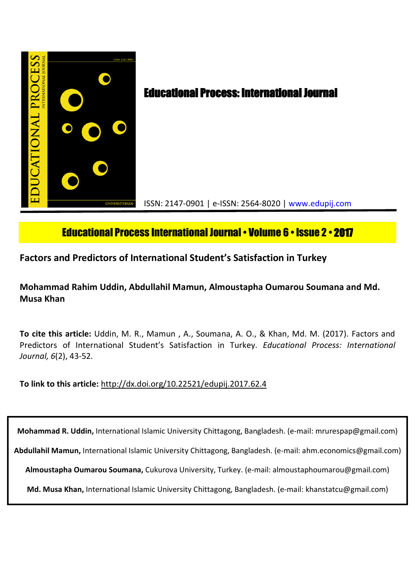

# Educational Process International Journal• Volume 6 • Issue 2 • **2017**

# **Factors and Predictors of International Student's Satisfaction in Turkey**

# **Mohammad Rahim Uddin, Abdullahil Mamun, Almoustapha Oumarou Soumana and Md. Musa Khan**

**To cite this article:** Uddin, M. R., Mamun , A., Soumana, A. O., & Khan, Md. M. (2017). Factors and Predictors of International Student's Satisfaction in Turkey. *Educational Process: International Journal, 6*(2), 43-52.

**To link to this article:** http://dx.doi.org/10.22521/edupij.2017.62.4

**Mohammad R. Uddin,** International Islamic University Chittagong, Bangladesh. (e-mail: mrurespap@gmail.com)

**Abdullahil Mamun,** International Islamic University Chittagong, Bangladesh. (e-mail: ahm.economics@gmail.com)

**Almoustapha Oumarou Soumana,** Cukurova University, Turkey. (e-mail: almoustaphoumarou@gmail.com)

**Md. Musa Khan,** International Islamic University Chittagong, Bangladesh. (e-mail: khanstatcu@gmail.com)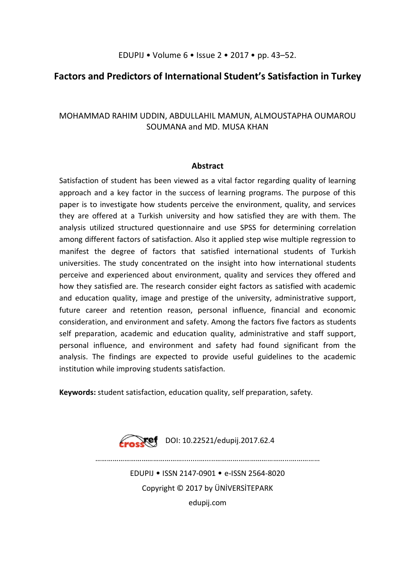# **Factors and Predictors of International Student's Satisfaction in Turkey**

# MOHAMMAD RAHIM UDDIN, ABDULLAHIL MAMUN, ALMOUSTAPHA OUMAROU SOUMANA and MD. MUSA KHAN

## **Abstract**

Satisfaction of student has been viewed as a vital factor regarding quality of learning approach and a key factor in the success of learning programs. The purpose of this paper is to investigate how students perceive the environment, quality, and services they are offered at a Turkish university and how satisfied they are with them. The analysis utilized structured questionnaire and use SPSS for determining correlation among different factors of satisfaction. Also it applied step wise multiple regression to manifest the degree of factors that satisfied international students of Turkish universities. The study concentrated on the insight into how international students perceive and experienced about environment, quality and services they offered and how they satisfied are. The research consider eight factors as satisfied with academic and education quality, image and prestige of the university, administrative support, future career and retention reason, personal influence, financial and economic consideration, and environment and safety. Among the factors five factors as students self preparation, academic and education quality, administrative and staff support, personal influence, and environment and safety had found significant from the analysis. The findings are expected to provide useful guidelines to the academic institution while improving students satisfaction.

**Keywords:** student satisfaction, education quality, self preparation, safety.



………………………………………........….....………………………………...……………

EDUPIJ • ISSN 2147-0901 • e-ISSN 2564-8020 Copyright © 2017 by ÜNİVERSİTEPARK

edupij.com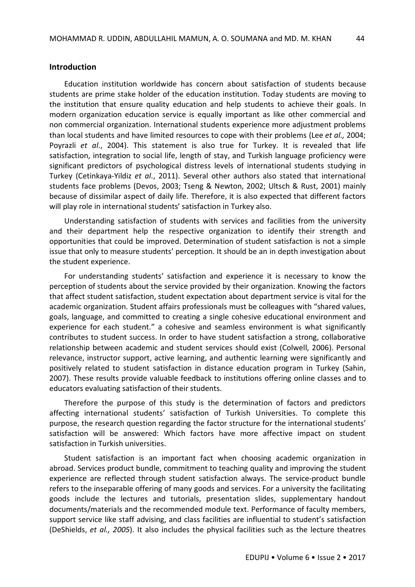#### **Introduction**

Education institution worldwide has concern about satisfaction of students because students are prime stake holder of the education institution. Today students are moving to the institution that ensure quality education and help students to achieve their goals. In modern organization education service is equally important as like other commercial and non commercial organization. International students experience more adjustment problems than local students and have limited resources to cope with their problems (Lee *et al.,* 2004; Poyrazli *et al*., 2004). This statement is also true for Turkey. It is revealed that life satisfaction, integration to social life, length of stay, and Turkish language proficiency were significant predictors of psychological distress levels of international students studying in Turkey (Cetinkaya-Yildiz *et al*., 2011). Several other authors also stated that international students face problems (Devos, 2003; Tseng & Newton, 2002; Ultsch & Rust, 2001) mainly because of dissimilar aspect of daily life. Therefore, it is also expected that different factors will play role in international students' satisfaction in Turkey also.

Understanding satisfaction of students with services and facilities from the university and their department help the respective organization to identify their strength and opportunities that could be improved. Determination of student satisfaction is not a simple issue that only to measure students' perception. It should be an in depth investigation about the student experience.

For understanding students' satisfaction and experience it is necessary to know the perception of students about the service provided by their organization. Knowing the factors that affect student satisfaction, student expectation about department service is vital for the academic organization. Student affairs professionals must be colleagues with "shared values, goals, language, and committed to creating a single cohesive educational environment and experience for each student." a cohesive and seamless environment is what significantly contributes to student success. In order to have student satisfaction a strong, collaborative relationship between academic and student services should exist (Colwell, 2006). Personal relevance, instructor support, active learning, and authentic learning were significantly and positively related to student satisfaction in distance education program in Turkey (Sahin, 2007). These results provide valuable feedback to institutions offering online classes and to educators evaluating satisfaction of their students.

Therefore the purpose of this study is the determination of factors and predictors affecting international students' satisfaction of Turkish Universities. To complete this purpose, the research question regarding the factor structure for the international students' satisfaction will be answered: Which factors have more affective impact on student satisfaction in Turkish universities.

Student satisfaction is an important fact when choosing academic organization in abroad. Services product bundle, commitment to teaching quality and improving the student experience are reflected through student satisfaction always. The service-product bundle refers to the inseparable offering of many goods and services. For a university the facilitating goods include the lectures and tutorials, presentation slides, supplementary handout documents/materials and the recommended module text. Performance of faculty members, support service like staff advising, and class facilities are influential to student's satisfaction (DeShields, *et al., 2005*). It also includes the physical facilities such as the lecture theatres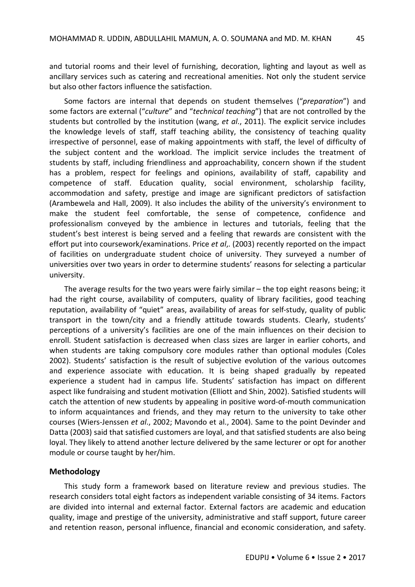and tutorial rooms and their level of furnishing, decoration, lighting and layout as well as ancillary services such as catering and recreational amenities. Not only the student service but also other factors influence the satisfaction.

Some factors are internal that depends on student themselves ("*preparation*") and some factors are external ("*culture*" and "*technical teaching*") that are not controlled by the students but controlled by the institution (wang, *et al*., 2011). The explicit service includes the knowledge levels of staff, staff teaching ability, the consistency of teaching quality irrespective of personnel, ease of making appointments with staff, the level of difficulty of the subject content and the workload. The implicit service includes the treatment of students by staff, including friendliness and approachability, concern shown if the student has a problem, respect for feelings and opinions, availability of staff, capability and competence of staff. Education quality, social environment, scholarship facility, accommodation and safety, prestige and image are significant predictors of satisfaction (Arambewela and Hall, 2009). It also includes the ability of the university's environment to make the student feel comfortable, the sense of competence, confidence and professionalism conveyed by the ambience in lectures and tutorials, feeling that the student's best interest is being served and a feeling that rewards are consistent with the effort put into coursework/examinations. Price *et al*,. (2003) recently reported on the impact of facilities on undergraduate student choice of university. They surveyed a number of universities over two years in order to determine students' reasons for selecting a particular university.

The average results for the two years were fairly similar – the top eight reasons being; it had the right course, availability of computers, quality of library facilities, good teaching reputation, availability of "quiet" areas, availability of areas for self-study, quality of public transport in the town/city and a friendly attitude towards students. Clearly, students' perceptions of a university's facilities are one of the main influences on their decision to enroll. Student satisfaction is decreased when class sizes are larger in earlier cohorts, and when students are taking compulsory core modules rather than optional modules (Coles 2002). Students' satisfaction is the result of subjective evolution of the various outcomes and experience associate with education. It is being shaped gradually by repeated experience a student had in campus life. Students' satisfaction has impact on different aspect like fundraising and student motivation (Elliott and Shin, 2002). Satisfied students will catch the attention of new students by appealing in positive word-of-mouth communication to inform acquaintances and friends, and they may return to the university to take other courses (Wiers-Jenssen *et al*., 2002; Mavondo et al., 2004). Same to the point Devinder and Datta (2003) said that satisfied customers are loyal, and that satisfied students are also being loyal. They likely to attend another lecture delivered by the same lecturer or opt for another module or course taught by her/him.

#### **Methodology**

This study form a framework based on literature review and previous studies. The research considers total eight factors as independent variable consisting of 34 items. Factors are divided into internal and external factor. External factors are academic and education quality, image and prestige of the university, administrative and staff support, future career and retention reason, personal influence, financial and economic consideration, and safety.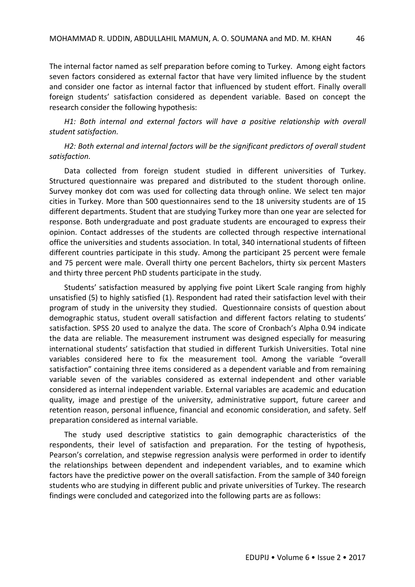The internal factor named as self preparation before coming to Turkey. Among eight factors seven factors considered as external factor that have very limited influence by the student and consider one factor as internal factor that influenced by student effort. Finally overall foreign students' satisfaction considered as dependent variable. Based on concept the research consider the following hypothesis:

*H1: Both internal and external factors will have a positive relationship with overall student satisfaction.*

*H2: Both external and internal factors will be the significant predictors of overall student satisfaction.*

Data collected from foreign student studied in different universities of Turkey. Structured questionnaire was prepared and distributed to the student thorough online. Survey monkey dot com was used for collecting data through online. We select ten major cities in Turkey. More than 500 questionnaires send to the 18 university students are of 15 different departments. Student that are studying Turkey more than one year are selected for response. Both undergraduate and post graduate students are encouraged to express their opinion. Contact addresses of the students are collected through respective international office the universities and students association. In total, 340 international students of fifteen different countries participate in this study. Among the participant 25 percent were female and 75 percent were male. Overall thirty one percent Bachelors, thirty six percent Masters and thirty three percent PhD students participate in the study.

Students' satisfaction measured by applying five point Likert Scale ranging from highly unsatisfied (5) to highly satisfied (1). Respondent had rated their satisfaction level with their program of study in the university they studied. Questionnaire consists of question about demographic status, student overall satisfaction and different factors relating to students' satisfaction. SPSS 20 used to analyze the data. The score of Cronbach's Alpha 0.94 indicate the data are reliable. The measurement instrument was designed especially for measuring international students' satisfaction that studied in different Turkish Universities. Total nine variables considered here to fix the measurement tool. Among the variable "overall satisfaction" containing three items considered as a dependent variable and from remaining variable seven of the variables considered as external independent and other variable considered as internal independent variable. External variables are academic and education quality, image and prestige of the university, administrative support, future career and retention reason, personal influence, financial and economic consideration, and safety. Self preparation considered as internal variable.

The study used descriptive statistics to gain demographic characteristics of the respondents, their level of satisfaction and preparation. For the testing of hypothesis, Pearson's correlation, and stepwise regression analysis were performed in order to identify the relationships between dependent and independent variables, and to examine which factors have the predictive power on the overall satisfaction. From the sample of 340 foreign students who are studying in different public and private universities of Turkey. The research findings were concluded and categorized into the following parts are as follows: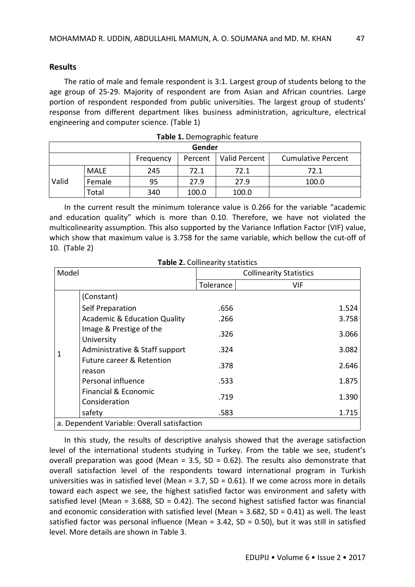### **Results**

The ratio of male and female respondent is 3:1. Largest group of students belong to the age group of 25-29. Majority of respondent are from Asian and African countries. Large portion of respondent responded from public universities. The largest group of students' response from different department likes business administration, agriculture, electrical engineering and computer science. (Table 1)

| Gender |                                                                    |     |       |       |       |  |  |  |  |
|--------|--------------------------------------------------------------------|-----|-------|-------|-------|--|--|--|--|
|        | Valid Percent<br><b>Cumulative Percent</b><br>Percent<br>Frequency |     |       |       |       |  |  |  |  |
| Valid  | <b>MALE</b>                                                        | 245 | 72.1  | 72.1  | 72.1  |  |  |  |  |
|        | Female                                                             | 95  | 27.9  | 27.9  | 100.0 |  |  |  |  |
|        | Total                                                              | 340 | 100.0 | 100.0 |       |  |  |  |  |

|  | Table 1. Demographic feature |  |
|--|------------------------------|--|
|--|------------------------------|--|

In the current result the minimum tolerance value is 0.266 for the variable "academic and education quality" which is more than 0.10. Therefore, we have not violated the multicolinearity assumption. This also supported by the Variance Inflation Factor (VIF) value, which show that maximum value is 3.758 for the same variable, which bellow the cut-off of 10. (Table 2)

**Table 2.** Collinearity statistics

| Model |                                                                         | <b>Collinearity Statistics</b> |       |  |  |
|-------|-------------------------------------------------------------------------|--------------------------------|-------|--|--|
|       |                                                                         | Tolerance                      | VIF   |  |  |
|       | (Constant)                                                              |                                |       |  |  |
|       | Self Preparation                                                        | .656                           | 1.524 |  |  |
|       | <b>Academic &amp; Education Quality</b>                                 | .266                           | 3.758 |  |  |
|       | Image & Prestige of the<br>University<br>Administrative & Staff support | .326                           | 3.066 |  |  |
| 1     |                                                                         | .324                           | 3.082 |  |  |
|       | <b>Future career &amp; Retention</b><br>reason                          | .378                           | 2.646 |  |  |
|       | Personal influence                                                      | .533                           | 1.875 |  |  |
|       | Financial & Economic<br>Consideration                                   | .719                           | 1.390 |  |  |
|       | safety                                                                  | .583                           | 1.715 |  |  |
|       | a. Dependent Variable: Overall satisfaction                             |                                |       |  |  |

In this study, the results of descriptive analysis showed that the average satisfaction level of the international students studying in Turkey. From the table we see, student's overall preparation was good (Mean =  $3.5$ , SD = 0.62). The results also demonstrate that overall satisfaction level of the respondents toward international program in Turkish universities was in satisfied level (Mean =  $3.7$ , SD =  $0.61$ ). If we come across more in details toward each aspect we see, the highest satisfied factor was environment and safety with satisfied level (Mean =  $3.688$ , SD =  $0.42$ ). The second highest satisfied factor was financial and economic consideration with satisfied level (Mean =  $3.682$ , SD =  $0.41$ ) as well. The least satisfied factor was personal influence (Mean =  $3.42$ , SD = 0.50), but it was still in satisfied level. More details are shown in Table 3.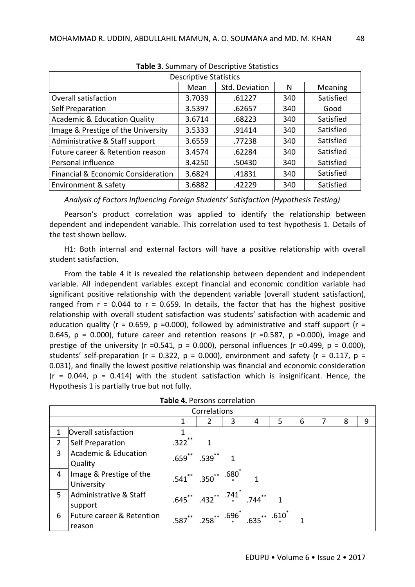| <b>TURIC OF SUITHING YOU DESCRIPTIVE STUTISTICS</b> |        |        |     |           |  |  |  |  |  |
|-----------------------------------------------------|--------|--------|-----|-----------|--|--|--|--|--|
| <b>Descriptive Statistics</b>                       |        |        |     |           |  |  |  |  |  |
| Std. Deviation<br>Meaning<br>Mean<br>N              |        |        |     |           |  |  |  |  |  |
| <b>Overall satisfaction</b>                         | 3.7039 | .61227 | 340 | Satisfied |  |  |  |  |  |
| Self Preparation                                    | 3.5397 | .62657 | 340 | Good      |  |  |  |  |  |
| <b>Academic &amp; Education Quality</b>             | 3.6714 | .68223 | 340 | Satisfied |  |  |  |  |  |
| Image & Prestige of the University                  | 3.5333 | .91414 | 340 | Satisfied |  |  |  |  |  |
| Administrative & Staff support                      | 3.6559 | .77238 | 340 | Satisfied |  |  |  |  |  |
| Future career & Retention reason                    | 3.4574 | .62284 | 340 | Satisfied |  |  |  |  |  |
| Personal influence                                  | 3.4250 | .50430 | 340 | Satisfied |  |  |  |  |  |
| Financial & Economic Consideration                  | 3.6824 | .41831 | 340 | Satisfied |  |  |  |  |  |
| Environment & safety                                | 3.6882 | .42229 | 340 | Satisfied |  |  |  |  |  |

**Table 3.** Summary of Descriptive Statistics

*Analysis of Factors Influencing Foreign Students' Satisfaction (Hypothesis Testing)*

Pearson's product correlation was applied to identify the relationship between dependent and independent variable. This correlation used to test hypothesis 1. Details of the test shown bellow.

H1: Both internal and external factors will have a positive relationship with overall student satisfaction.

From the table 4 it is revealed the relationship between dependent and independent variable. All independent variables except financial and economic condition variable had significant positive relationship with the dependent variable (overall student satisfaction), ranged from  $r = 0.044$  to  $r = 0.659$ . In details, the factor that has the highest positive relationship with overall student satisfaction was students' satisfaction with academic and education quality ( $r = 0.659$ ,  $p = 0.000$ ), followed by administrative and staff support ( $r =$ 0.645,  $p = 0.000$ ), future career and retention reasons (r =0.587,  $p = 0.000$ ), image and prestige of the university (r =0.541,  $p = 0.000$ ), personal influences (r =0.499,  $p = 0.000$ ), students' self-preparation ( $r = 0.322$ ,  $p = 0.000$ ), environment and safety ( $r = 0.117$ ,  $p =$ 0.031), and finally the lowest positive relationship was financial and economic consideration  $(r = 0.044, p = 0.414)$  with the student satisfaction which is insignificant. Hence, the Hypothesis 1 is partially true but not fully.

|                | <b>TADIC T.</b> LED COLLS COLLEGENTI           |           |                                                 |   |   |   |   |  |   |   |
|----------------|------------------------------------------------|-----------|-------------------------------------------------|---|---|---|---|--|---|---|
|                | Correlations                                   |           |                                                 |   |   |   |   |  |   |   |
|                |                                                |           |                                                 | 3 | 4 | 5 | 6 |  | 8 | 9 |
| 1              | Overall satisfaction                           |           |                                                 |   |   |   |   |  |   |   |
| $\overline{2}$ | Self Preparation                               | $.322$ ** |                                                 |   |   |   |   |  |   |   |
| 3              | <b>Academic &amp; Education</b><br>Quality     |           | $.659$ $.539$ $1$                               |   |   |   |   |  |   |   |
| 4              | Image & Prestige of the<br>University          |           | $.541$ $*$ $.350$ $*$ $.680$ $*$                |   |   |   |   |  |   |   |
| 5              | Administrative & Staff<br>support              |           | $.645$ ** $.432$ ** $.741$ * $.744$ **          |   |   |   |   |  |   |   |
| 6              | <b>Future career &amp; Retention</b><br>reason |           | .587** .258** $\cdot$ .696* .635* $\cdot$ .610* |   |   |   |   |  |   |   |

| Table 4. Persons correlation |  |
|------------------------------|--|
|------------------------------|--|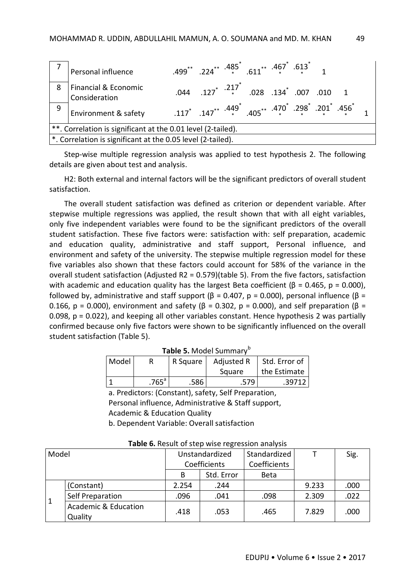|                                                              | Personal influence                                          | $.499$ $*$ $.224$ $*$ $.485$ $.613$ $*$ $.467$ $.613$ $1$ |                                                                                                       |  |  |  |  |  |  |
|--------------------------------------------------------------|-------------------------------------------------------------|-----------------------------------------------------------|-------------------------------------------------------------------------------------------------------|--|--|--|--|--|--|
| 8                                                            | Financial & Economic<br>Consideration                       |                                                           | .044 .127 <sup>*</sup> . <sup>217<sup>*</sup> .028 .134<sup>*</sup> .007 .010 1</sup>                 |  |  |  |  |  |  |
| 9                                                            | Environment & safety                                        |                                                           | .117 * .147 * .405 * .405 * .470 * .298 * .201 * .456 * .117 * .147 * .405 * .405 * .201 * .405 * .11 |  |  |  |  |  |  |
| **. Correlation is significant at the 0.01 level (2-tailed). |                                                             |                                                           |                                                                                                       |  |  |  |  |  |  |
|                                                              | *. Correlation is significant at the 0.05 level (2-tailed). |                                                           |                                                                                                       |  |  |  |  |  |  |

Step-wise multiple regression analysis was applied to test hypothesis 2. The following details are given about test and analysis.

H2: Both external and internal factors will be the significant predictors of overall student satisfaction.

The overall student satisfaction was defined as criterion or dependent variable. After stepwise multiple regressions was applied, the result shown that with all eight variables, only five independent variables were found to be the significant predictors of the overall student satisfaction. These five factors were: satisfaction with: self preparation, academic and education quality, administrative and staff support, Personal influence, and environment and safety of the university. The stepwise multiple regression model for these five variables also shown that these factors could account for 58% of the variance in the overall student satisfaction (Adjusted R2 = 0.579)(table 5). From the five factors, satisfaction with academic and education quality has the largest Beta coefficient ( $β = 0.465$ ,  $p = 0.000$ ), followed by, administrative and staff support ( $\beta$  = 0.407, p = 0.000), personal influence ( $\beta$  = 0.166, p = 0.000), environment and safety ( $\beta$  = 0.302, p = 0.000), and self preparation ( $\beta$  = 0.098, p = 0.022), and keeping all other variables constant. Hence hypothesis 2 was partially confirmed because only five factors were shown to be significantly influenced on the overall student satisfaction (Table 5).

| Model | R Square            |      | Adjusted R | Std. Error of |  |  |  |  |  |
|-------|---------------------|------|------------|---------------|--|--|--|--|--|
|       |                     |      | Square     | the Estimate  |  |  |  |  |  |
|       | $.765$ <sup>a</sup> | .586 | .579       | .39712        |  |  |  |  |  |

**Table 5.** Model Summary<sup>b</sup>

a. Predictors: (Constant), safety, Self Preparation, Personal influence, Administrative & Staff support, Academic & Education Quality b. Dependent Variable: Overall satisfaction

| Model |                                 | Unstandardized |            | Standardized |       | Sig. |
|-------|---------------------------------|----------------|------------|--------------|-------|------|
|       |                                 | Coefficients   |            | Coefficients |       |      |
|       |                                 | B              | Std. Error | <b>Beta</b>  |       |      |
|       | (Constant)                      | 2.254          | .244       |              | 9.233 | .000 |
|       | Self Preparation                | .096           | .041       | .098         | 2.309 | .022 |
|       | Academic & Education<br>Quality | .418           | .053       | .465         | 7.829 | .000 |

**Table 6.** Result of step wise regression analysis

EDUPIJ • Volume 6 • Issue 2 • 2017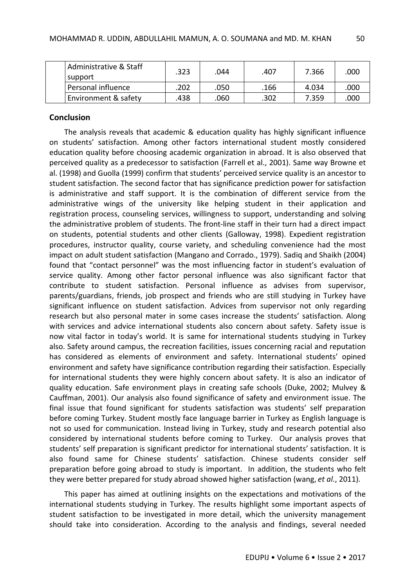| Administrative & Staff<br>support | .323 | .044 | .407 | 7.366 | .000 |
|-----------------------------------|------|------|------|-------|------|
| Personal influence                | .202 | .050 | .166 | 4.034 | .000 |
| Environment & safety              | .438 | .060 | .302 | 7.359 | .000 |

### **Conclusion**

The analysis reveals that academic & education quality has highly significant influence on students' satisfaction. Among other factors international student mostly considered education quality before choosing academic organization in abroad. It is also observed that perceived quality as a predecessor to satisfaction (Farrell et al., 2001). Same way Browne et al. (1998) and Guolla (1999) confirm that students' perceived service quality is an ancestor to student satisfaction. The second factor that has significance prediction power for satisfaction is administrative and staff support. It is the combination of different service from the administrative wings of the university like helping student in their application and registration process, counseling services, willingness to support, understanding and solving the administrative problem of students. The front-line staff in their turn had a direct impact on students, potential students and other clients (Galloway, 1998). Expedient registration procedures, instructor quality, course variety, and scheduling convenience had the most impact on adult student satisfaction (Mangano and Corrado., 1979). Sadiq and Shaikh (2004) found that "contact personnel" was the most influencing factor in student's evaluation of service quality. Among other factor personal influence was also significant factor that contribute to student satisfaction. Personal influence as advises from supervisor, parents/guardians, friends, job prospect and friends who are still studying in Turkey have significant influence on student satisfaction. Advices from supervisor not only regarding research but also personal mater in some cases increase the students' satisfaction. Along with services and advice international students also concern about safety. Safety issue is now vital factor in today's world. It is same for international students studying in Turkey also. Safety around campus, the recreation facilities, issues concerning racial and reputation has considered as elements of environment and safety. International students' opined environment and safety have significance contribution regarding their satisfaction. Especially for international students they were highly concern about safety. It is also an indicator of quality education. Safe environment plays in creating safe schools (Duke, 2002; Mulvey & Cauffman, 2001). Our analysis also found significance of safety and environment issue. The final issue that found significant for students satisfaction was students' self preparation before coming Turkey. Student mostly face language barrier in Turkey as English language is not so used for communication. Instead living in Turkey, study and research potential also considered by international students before coming to Turkey. Our analysis proves that students' self preparation is significant predictor for international students' satisfaction. It is also found same for Chinese students' satisfaction. Chinese students consider self preparation before going abroad to study is important. In addition, the students who felt they were better prepared for study abroad showed higher satisfaction (wang, *et al*., 2011).

This paper has aimed at outlining insights on the expectations and motivations of the international students studying in Turkey. The results highlight some important aspects of student satisfaction to be investigated in more detail, which the university management should take into consideration. According to the analysis and findings, several needed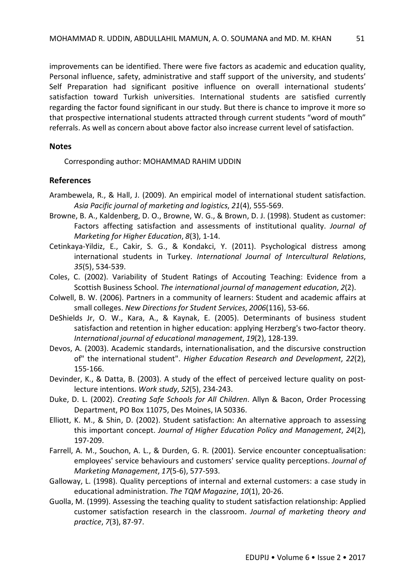improvements can be identified. There were five factors as academic and education quality, Personal influence, safety, administrative and staff support of the university, and students' Self Preparation had significant positive influence on overall international students' satisfaction toward Turkish universities. International students are satisfied currently regarding the factor found significant in our study. But there is chance to improve it more so that prospective international students attracted through current students "word of mouth" referrals. As well as concern about above factor also increase current level of satisfaction.

### **Notes**

Corresponding author: MOHAMMAD RAHIM UDDIN

## **References**

- Arambewela, R., & Hall, J. (2009). An empirical model of international student satisfaction. *Asia Pacific journal of marketing and logistics*, *21*(4), 555-569.
- Browne, B. A., Kaldenberg, D. O., Browne, W. G., & Brown, D. J. (1998). Student as customer: Factors affecting satisfaction and assessments of institutional quality. *Journal of Marketing for Higher Education*, *8*(3), 1-14.
- Cetinkaya-Yildiz, E., Cakir, S. G., & Kondakci, Y. (2011). Psychological distress among international students in Turkey. *International Journal of Intercultural Relations*, *35*(5), 534-539.
- Coles, C. (2002). Variability of Student Ratings of Accouting Teaching: Evidence from a Scottish Business School. *The international journal of management education*, *2*(2).
- Colwell, B. W. (2006). Partners in a community of learners: Student and academic affairs at small colleges. *New Directions for Student Services*, *2006*(116), 53-66.
- DeShields Jr, O. W., Kara, A., & Kaynak, E. (2005). Determinants of business student satisfaction and retention in higher education: applying Herzberg's two-factor theory. *International journal of educational management*, *19*(2), 128-139.
- Devos, A. (2003). Academic standards, internationalisation, and the discursive construction of" the international student". *Higher Education Research and Development*, *22*(2), 155-166.
- Devinder, K., & Datta, B. (2003). A study of the effect of perceived lecture quality on postlecture intentions. *Work study*, *52*(5), 234-243.
- Duke, D. L. (2002). *Creating Safe Schools for All Children*. Allyn & Bacon, Order Processing Department, PO Box 11075, Des Moines, IA 50336.
- Elliott, K. M., & Shin, D. (2002). Student satisfaction: An alternative approach to assessing this important concept. *Journal of Higher Education Policy and Management*, *24*(2), 197-209.
- Farrell, A. M., Souchon, A. L., & Durden, G. R. (2001). Service encounter conceptualisation: employees' service behaviours and customers' service quality perceptions. *Journal of Marketing Management*, *17*(5-6), 577-593.
- Galloway, L. (1998). Quality perceptions of internal and external customers: a case study in educational administration. *The TQM Magazine*, *10*(1), 20-26.
- Guolla, M. (1999). Assessing the teaching quality to student satisfaction relationship: Applied customer satisfaction research in the classroom. *Journal of marketing theory and practice*, *7*(3), 87-97.